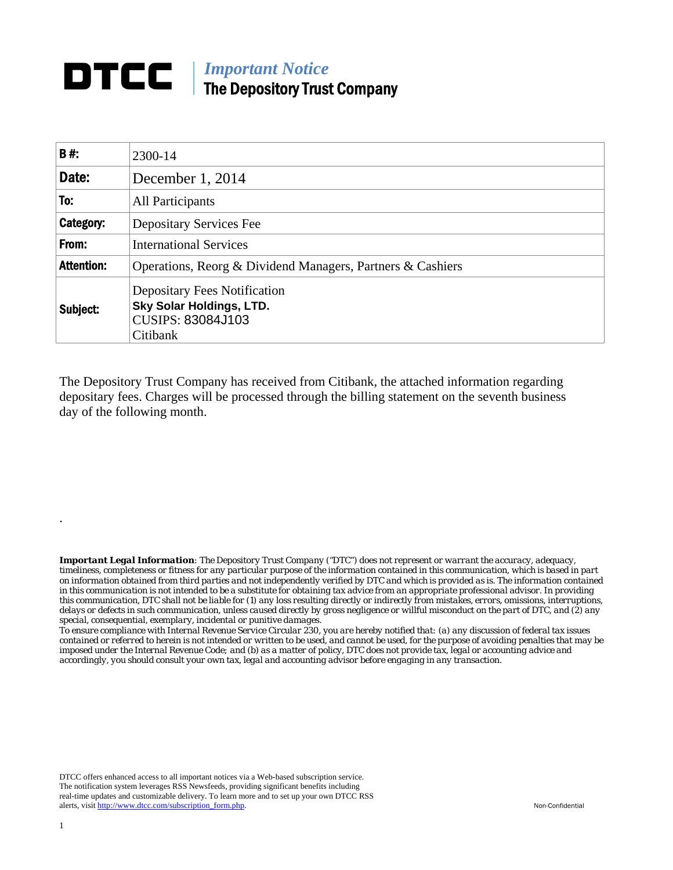## **DTCC** | *Important Notice* The Depository Trust Company

| <b>B#:</b>        | 2300-14                                                                                                 |  |  |  |  |
|-------------------|---------------------------------------------------------------------------------------------------------|--|--|--|--|
| Date:             | December 1, 2014                                                                                        |  |  |  |  |
| To:               | <b>All Participants</b>                                                                                 |  |  |  |  |
| Category:         | <b>Depositary Services Fee</b>                                                                          |  |  |  |  |
| From:             | <b>International Services</b>                                                                           |  |  |  |  |
| <b>Attention:</b> | Operations, Reorg & Dividend Managers, Partners & Cashiers                                              |  |  |  |  |
| Subject:          | <b>Depositary Fees Notification</b><br>Sky Solar Holdings, LTD.<br><b>CUSIPS: 83084J103</b><br>Citibank |  |  |  |  |

The Depository Trust Company has received from Citibank, the attached information regarding depositary fees. Charges will be processed through the billing statement on the seventh business day of the following month.

*Important Legal Information: The Depository Trust Company ("DTC") does not represent or warrant the accuracy, adequacy, timeliness, completeness or fitness for any particular purpose of the information contained in this communication, which is based in part on information obtained from third parties and not independently verified by DTC and which is provided as is. The information contained in this communication is not intended to be a substitute for obtaining tax advice from an appropriate professional advisor. In providing this communication, DTC shall not be liable for (1) any loss resulting directly or indirectly from mistakes, errors, omissions, interruptions, delays or defects in such communication, unless caused directly by gross negligence or willful misconduct on the part of DTC, and (2) any special, consequential, exemplary, incidental or punitive damages.* 

*To ensure compliance with Internal Revenue Service Circular 230, you are hereby notified that: (a) any discussion of federal tax issues contained or referred to herein is not intended or written to be used, and cannot be used, for the purpose of avoiding penalties that may be imposed under the Internal Revenue Code; and (b) as a matter of policy, DTC does not provide tax, legal or accounting advice and accordingly, you should consult your own tax, legal and accounting advisor before engaging in any transaction.*

DTCC offers enhanced access to all important notices via a Web-based subscription service. The notification system leverages RSS Newsfeeds, providing significant benefits including real-time updates and customizable delivery. To learn more and to set up your own DTCC RSS alerts, visit http://www.dtcc.com/subscription\_form.php. Non-Confidential

.